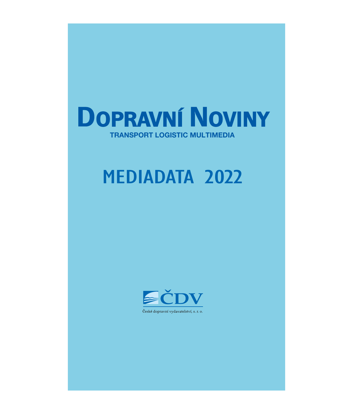

# MEDIADATA 2022

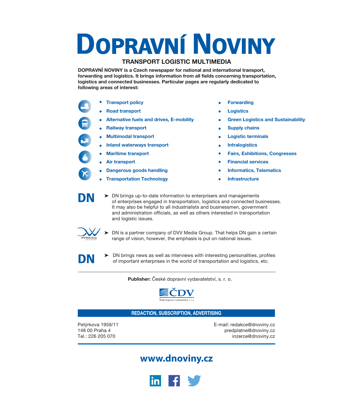# **DOPRAVNÍ NOVINY**

## **TRANSPORT LOGISTIC MULTIMEDIA**

**DOPRAVNÍ NOVINY is a Czech newspaper for national and international transport, forwarding and logistics. It brings information from all fields concerning transportation, logistics and connected businesses. Particular pages are regularly dedicated to following areas of interest:**

- **Transport policy**
	- **Road transport**
	- **Alternative fuels and drives, E-mobility**
	- **Railway transport**
	- **Multimodal transport**
	- **Inland waterways transport**
	- **Maritime transport**
	- **Air transport**
	- **Dangerous goods handling**
	- **Transportation Technology**
- **Forwarding**
- **Logistics**
- **Green Logistics and Sustainability**
- **Supply chains**
- **Logistic terminals**
- **Intralogistics** ä
- **Fairs, Exhibitions, Congresses**
- **Financial services**
- **Informatics, Telematics**
- **Infrastructure** ă
- DN brings up-to-date information to enterprisers and managements of enterprises engaged in transportation, logistics and connected businesses. It may also be helpful to all industrialists and businessmen, government and administration officials, as well as others interested in transportation and logistic issues.



DN

- DN is a partner company of DVV Media Group. That helps DN gain a certain range of vision, however, the emphasis is put on national issues.
- DN
- DN brings news as well as interviews with interesting personalities, profiles of important enterprises in the world of transportation and logistics, etc.

**Publisher:** České dopravní vydavatelství, s. r. o.



#### **REDACTION, SUBSCRIPTION, ADVERTISING**

Petýrkova 1959/11 148 00 Praha 4 Tel.: 226 205 070

E-mail: redakce@dnoviny.cz predplatne@dnoviny.cz inzerce@dnoviny.cz

# **www.dnoviny.cz**

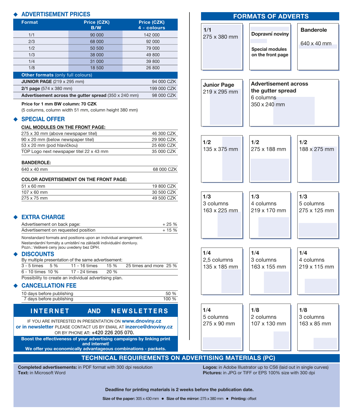#### **ADVERTISEMENT PRICES**

| <b>ADVERTISEMENT PRICES</b>                                                                                                    |                                                                        |                            |                                    | <b>FORMATS OF ADVERTS</b>   |
|--------------------------------------------------------------------------------------------------------------------------------|------------------------------------------------------------------------|----------------------------|------------------------------------|-----------------------------|
| Format                                                                                                                         | Price (CZK)<br>B/W                                                     | Price (CZK)<br>4 - colours | 1/1                                |                             |
| 1/1                                                                                                                            | 90 000                                                                 | 142 000                    | 275 x 380 mm                       | Dopravní noviny             |
| 2/3                                                                                                                            | 68 000                                                                 | 92 000                     |                                    |                             |
| 1/2                                                                                                                            | 50 500                                                                 | 79 000                     |                                    | <b>Special modules</b>      |
| 1/3                                                                                                                            | 38 000                                                                 | 49 800                     |                                    | on the front page           |
| 1/4                                                                                                                            | 31 000                                                                 | 39 800                     |                                    |                             |
| 1/8                                                                                                                            | 18 500                                                                 | 26 800                     |                                    |                             |
| Other formats (only full colours)                                                                                              |                                                                        |                            |                                    |                             |
| JUNIOR PAGE (219 x 295 mm)                                                                                                     |                                                                        | 94 000 CZK                 |                                    | <b>Advertisement across</b> |
| 2/1 page (574 x 380 mm)<br>199 000 CZK                                                                                         |                                                                        |                            | <b>Junior Page</b><br>219 x 295 mm | the gutter spread           |
|                                                                                                                                | Advertisement across the gutter spread (350 x 240 mm)                  | 98 000 CZK                 |                                    | 6 columns                   |
| Price for 1 mm BW column: 70 CZK                                                                                               |                                                                        |                            |                                    | 350 x 240 mm                |
|                                                                                                                                | (5 columns, column width 51 mm, column height 380 mm)                  |                            |                                    |                             |
|                                                                                                                                |                                                                        |                            |                                    |                             |
| <b>SPECIAL OFFER</b>                                                                                                           |                                                                        |                            |                                    |                             |
| <b>CIAL MODULES ON THE FRONT PAGE:</b>                                                                                         |                                                                        |                            |                                    |                             |
| 275 x 30 mm (above newspaper titel)                                                                                            |                                                                        | 46 300 CZK                 |                                    |                             |
| 90 x 20 mm (below newspaper titel)                                                                                             |                                                                        | 29 900 CZK                 | 1/2                                | 1/2                         |
| 53 x 20 mm (pod hlavičkou)<br>TOP Logo next newspaper titel 22 x 43 mm                                                         |                                                                        | 25 600 CZK<br>35 000 CZK   | 135 x 375 mm                       | 275 x 188 mm                |
|                                                                                                                                |                                                                        |                            |                                    |                             |
| <b>BANDEROLE:</b>                                                                                                              |                                                                        |                            |                                    |                             |
| 640 x 40 mm                                                                                                                    |                                                                        | 68 000 CZK                 |                                    |                             |
|                                                                                                                                |                                                                        |                            |                                    |                             |
|                                                                                                                                | <b>COLOR ADVERTISEMENT ON THE FRONT PAGE:</b>                          |                            |                                    |                             |
| 51 x 60 mm<br>107 x 60 mm                                                                                                      |                                                                        | 19 800 CZK<br>30 500 CZK   |                                    |                             |
| 275 x 75 mm                                                                                                                    |                                                                        | 49 500 CZK                 | 1/3                                | 1/3                         |
|                                                                                                                                |                                                                        |                            | 3 columns                          | 4 columns                   |
|                                                                                                                                |                                                                        |                            | 163 x 225 mm                       | 219 x 170 mm                |
| <b>EXTRA CHARGE</b>                                                                                                            |                                                                        |                            |                                    |                             |
| Advertisement on back page:                                                                                                    |                                                                        | $+25%$                     |                                    |                             |
| Advertisement on requested position                                                                                            |                                                                        | $+15%$                     |                                    |                             |
|                                                                                                                                | Nonstandard formats and positions upon an individual arrangement.      |                            |                                    |                             |
|                                                                                                                                | Nestandardní formáty a umístění na základě individuální domluvy.       |                            |                                    |                             |
| Pozn.: Veškeré ceny jsou uvedeny bez DPH.                                                                                      |                                                                        |                            | 1/4                                | 1/4                         |
| <b>DISCOUNTS</b>                                                                                                               |                                                                        |                            | 2,5 columns                        | 3 columns                   |
| By multiple presentation of the same advertisement:<br>$3 - 5$ times<br>5 %<br>25 times and more 25 %<br>11 - 16 times<br>15 % |                                                                        |                            | 135 x 185 mm                       | 163 x 155 mm                |
| $6 - 10$ times $10 \%$                                                                                                         | 17 - 24 times<br>20 %                                                  |                            |                                    |                             |
|                                                                                                                                | Possibility to create an individual advertising plan.                  |                            |                                    |                             |
| <b>CANCELLATION FEE</b>                                                                                                        |                                                                        |                            |                                    |                             |
| 10 days before publishing                                                                                                      |                                                                        | 50 %                       |                                    |                             |
| 7 days before publishing                                                                                                       |                                                                        | 100 %                      |                                    |                             |
|                                                                                                                                |                                                                        |                            |                                    |                             |
| <b>INTERNET</b>                                                                                                                | <b>AND</b>                                                             | <b>NEWSLETTERS</b>         | 1/4                                | 1/8                         |
|                                                                                                                                |                                                                        |                            | 5 columns                          | 2 columns                   |
| IF YOU ARE INTERESTED IN PRESENTATION ON www.dnoviny.cz<br>or in newsletter PLEASE CONTACT US BY EMAIL AT inzerce@dnoviny.cz   |                                                                        |                            | 275 x 90 mm                        | 107 x 130 mm                |
|                                                                                                                                | OR BY PHONE AT: +420 226 205 070.                                      |                            |                                    |                             |
|                                                                                                                                | Boost the effectiveness of your advertising campaigns by linking print |                            |                                    |                             |
|                                                                                                                                | and internet!                                                          |                            |                                    |                             |
|                                                                                                                                | We offer you economically advantageous combinations - packets.         |                            |                                    |                             |

**Completed advertisements:** in PDF format with 300 dpi resolution **Text:** in Microsoft Word

**Logos:** in Adobe Illustrator up to CS6 (laid out in single curves) **Pictures:** in JPG or TIFF or EPS 100% size with 300 dpi

188 x 275 mm

**Banderole**

640 x 40 mm

5 columns 275 x 125 mm

4 columns 219 x 115 mm

3 columns 163 x 85 mm

**Deadline for printing materials is 2 weeks before the publication date.**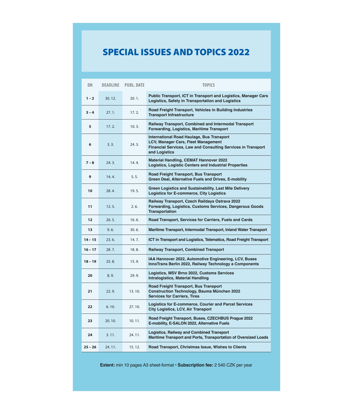# SPECIAL ISSUES AND TOPICS 2022

| DN                |         | <b>DEADLINE PUBL. DATE</b> | <b>TOPICS</b>                                                                                                                                                            |
|-------------------|---------|----------------------------|--------------------------------------------------------------------------------------------------------------------------------------------------------------------------|
| $1 - 2$           | 30.12.  | 20.1.                      | Public Transport, ICT in Transport and Logistics, Manager Cars<br>Logistics, Safety in Transportation and Logistics                                                      |
| $3 - 4$           | 27.1.   | 17.2.                      | Road Freight Transport, Vehicles in Building Industries<br><b>Transport Infrastructure</b>                                                                               |
| 5                 | 17.2.   | 10.3.                      | Railway Transport, Combined and Intermodal Transport<br>Forwarding, Logistics, Maritime Transport                                                                        |
| 6                 | 3.3.    | 24.3.                      | International Road Haulage, Bus Transport<br>LCV, Manager Cars, Fleet Management<br><b>Financial Services, Law and Consulting Services in Transport</b><br>and Logistics |
| $7 - 8$           | 24.3.   | 14.4.                      | <b>Material Handling, CEMAT Hannover 2022</b><br>Logistics, Logistic Centers and Industrial Properties                                                                   |
| 9                 | 14.4.   | 5.5.                       | Road Freight Transport, Bus Transport<br>Green Deal, Alternative Fuels and Drives, E-mobility                                                                            |
| 10                | 28.4.   | 19.5.                      | Green Logistics and Sustainability, Last Mile Delivery<br><b>Logistics for E-commerce, City Logistics</b>                                                                |
| 11                | 12.5.   | 2.6.                       | Railway Transport, Czech Raildays Ostrava 2022<br>Forwarding, Logistics, Customs Services, Dangerous Goods<br><b>Transportation</b>                                      |
| $12 \overline{ }$ | 26.5.   | 16.6.                      | Road Transport, Services for Carriers, Fuels and Cards                                                                                                                   |
| 13                | 9.6.    | 30.6.                      | Maritime Transport, Intermodal Transport, Inland Water Transport                                                                                                         |
| $14 - 15$         | 23.6.   | 14.7.                      | ICT in Transport and Logistics, Telematics, Road Freight Transport                                                                                                       |
| $16 - 17$         | 28.7.   | 18.8.                      | <b>Railway Transport, Combined Transport</b>                                                                                                                             |
| $18 - 19$         | 25.8.   | 15.9.                      | IAA Hannover 2022, Automotive Engineering, LCV, Buses<br>InnoTrans Berlin 2022, Railway Technology a Components                                                          |
| 20                | 8.9.    | 29.9.                      | Logistics, MSV Brno 2022, Customs Services<br><b>Intralogistics, Material Handling</b>                                                                                   |
| 21                | 22.9.   | 13.10.                     | Road Freight Transport, Bus Transport<br>Construction Technology, Bauma München 2022<br><b>Services for Carriers, Tires</b>                                              |
| 22                | 6.10.   | 27.10.                     | <b>Logistics for E-commerce, Courier and Parcel Services</b><br><b>City Logistics, LCV, Air Transport</b>                                                                |
| 23                | 20.10.  | 10.11.                     | Road Freight Transport, Buses, CZECHBUS Prague 2022<br>E-mobility, E-SALON 2022, Alternative Fuels                                                                       |
| 24                | 3.11.   | 24.11.                     | <b>Logistics, Railway and Combined Transport</b><br>Maritime Transport and Ports, Transportation of Oversized Loads                                                      |
| $25 - 26$         | 24. 11. | 15.12.                     | Road Transport, Christmas Issue, Wishes to Clients                                                                                                                       |

**Extent:** min 10 pages A3 sheet-format **• Subscription fee:** 2 540 CZK per year